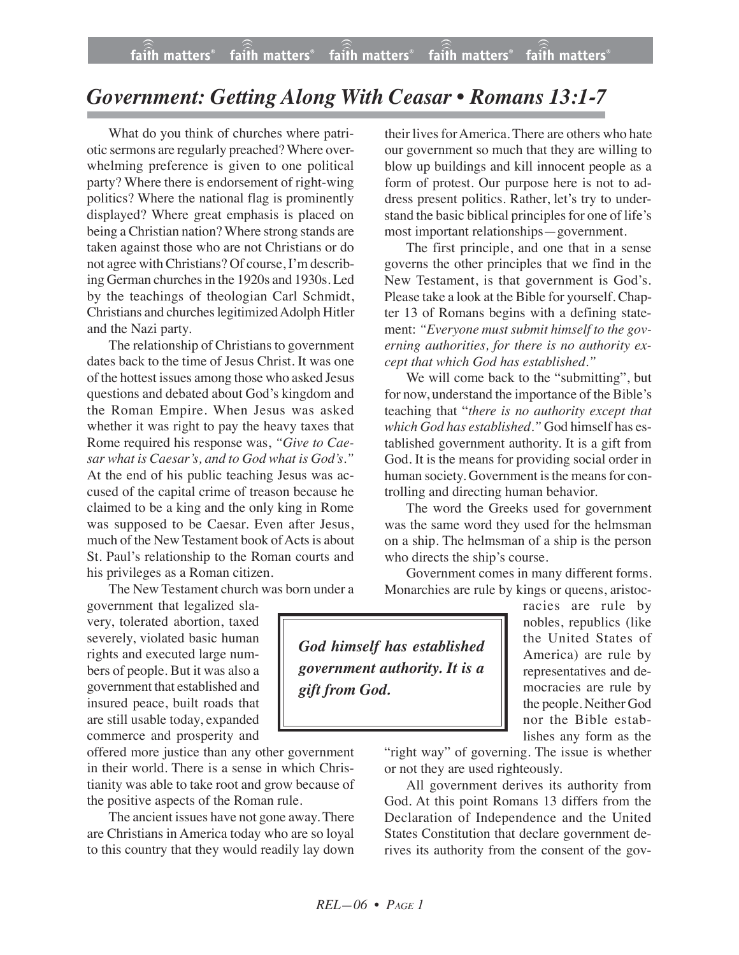## *Government: Getting Along With Ceasar • Romans 13:1-7*

What do you think of churches where patriotic sermons are regularly preached?Where overwhelming preference is given to one political party? Where there is endorsement of right-wing politics? Where the national flag is prominently displayed? Where great emphasis is placed on being a Christian nation? Where strong stands are taken against those who are not Christians or do not agree with Christians? Of course, I'm describing German churches in the 1920s and 1930s. Led by the teachings of theologian Carl Schmidt, Christians and churcheslegitimizedAdolph Hitler and the Nazi party.

The relationship of Christians to government dates back to the time of Jesus Christ. It was one of the hottest issues among those who asked Jesus questions and debated about God's kingdom and the Roman Empire. When Jesus was asked whether it was right to pay the heavy taxes that Rome required his response was, *"Give to Caesar what is Caesar's, and to God what is God's."* At the end of his public teaching Jesus was accused of the capital crime of treason because he claimed to be a king and the only king in Rome was supposed to be Caesar. Even after Jesus, much of the New Testament book of Acts is about St. Paul's relationship to the Roman courts and his privileges as a Roman citizen.

The New Testament church was born under a

government that legalized slavery, tolerated abortion, taxed severely, violated basic human rights and executed large numbers of people. But it was also a government that established and insured peace, built roads that are still usable today, expanded commerce and prosperity and

offered more justice than any other government in their world. There is a sense in which Christianity was able to take root and grow because of the positive aspects of the Roman rule.

The ancient issues have not gone away. There are Christians in America today who are so loyal to this country that they would readily lay down their lives for America. There are others who hate our government so much that they are willing to blow up buildings and kill innocent people as a form of protest. Our purpose here is not to address present politics. Rather, let's try to understand the basic biblical principles for one of life's most important relationships—government.

The first principle, and one that in a sense governs the other principles that we find in the New Testament, is that government is God's. Please take a look at the Bible for yourself. Chapter 13 of Romans begins with a defining statement: *"Everyone must submit himself to the governing authorities, for there is no authority except that which God has established."*

We will come back to the "submitting", but for now, understand the importance of the Bible's teaching that "*there is no authority except that which God has established."* God himself has established government authority. It is a gift from God. It is the means for providing social order in human society. Government is the means for controlling and directing human behavior.

The word the Greeks used for government was the same word they used for the helmsman on a ship. The helmsman of a ship is the person who directs the ship's course.

Government comes in many different forms. Monarchies are rule by kings or queens, aristoc-

*God himself has established government authority. It is a gift from God.*

racies are rule by nobles, republics (like the United States of America) are rule by representatives and democracies are rule by the people. Neither God nor the Bible establishes any form as the

"right way" of governing. The issue is whether or not they are used righteously.

All government derives its authority from God. At this point Romans 13 differs from the Declaration of Independence and the United States Constitution that declare government derives its authority from the consent of the gov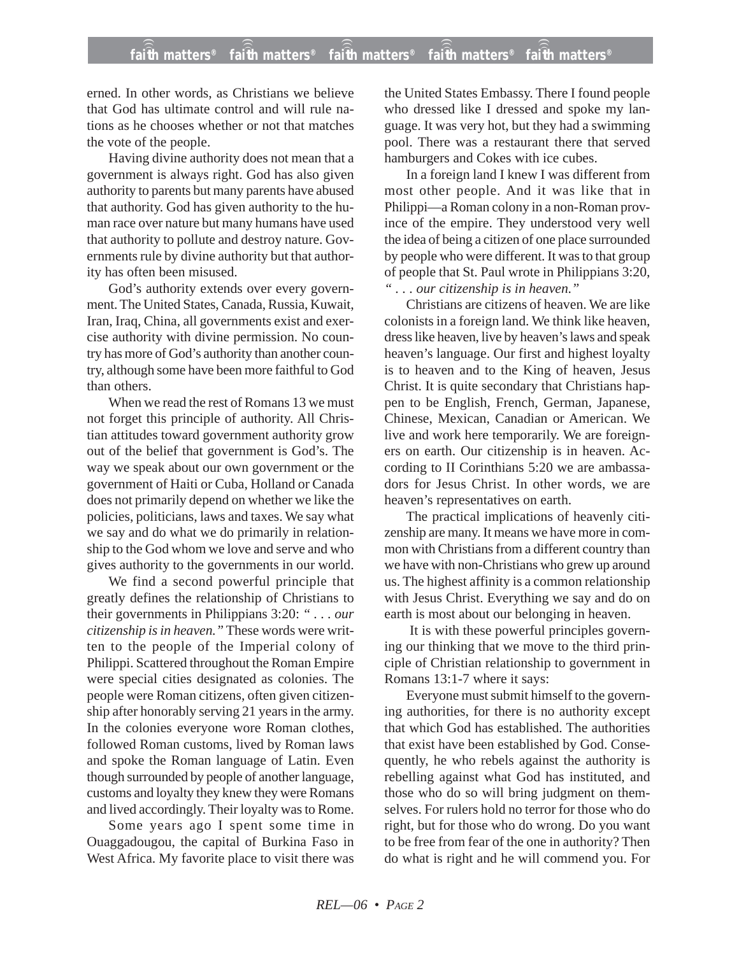erned. In other words, as Christians we believe that God has ultimate control and will rule nations as he chooses whether or not that matches the vote of the people.

Having divine authority does not mean that a government is always right. God has also given authority to parents but many parents have abused that authority. God has given authority to the human race over nature but many humans have used that authority to pollute and destroy nature. Governments rule by divine authority but that authority has often been misused.

God's authority extends over every government. The United States, Canada, Russia, Kuwait, Iran, Iraq, China, all governments exist and exercise authority with divine permission. No country has more of God's authority than another country, although some have been more faithful to God than others.

When we read the rest of Romans 13 we must not forget this principle of authority. All Christian attitudes toward government authority grow out of the belief that government is God's. The way we speak about our own government or the government of Haiti or Cuba, Holland or Canada does not primarily depend on whether we like the policies, politicians, laws and taxes. We say what we say and do what we do primarily in relationship to the God whom we love and serve and who gives authority to the governments in our world.

We find a second powerful principle that greatly defines the relationship of Christians to their governments in Philippians 3:20: *" . . . our citizenship is in heaven."* These words were written to the people of the Imperial colony of Philippi. Scattered throughout the Roman Empire were special cities designated as colonies. The people were Roman citizens, often given citizenship after honorably serving 21 years in the army. In the colonies everyone wore Roman clothes, followed Roman customs, lived by Roman laws and spoke the Roman language of Latin. Even though surrounded by people of another language, customs and loyalty they knew they were Romans and lived accordingly. Their loyalty was to Rome.

Some years ago I spent some time in Ouaggadougou, the capital of Burkina Faso in West Africa. My favorite place to visit there was the United States Embassy. There I found people who dressed like I dressed and spoke my language. It was very hot, but they had a swimming pool. There was a restaurant there that served hamburgers and Cokes with ice cubes.

In a foreign land I knew I was different from most other people. And it was like that in Philippi—a Roman colony in a non-Roman province of the empire. They understood very well the idea of being a citizen of one place surrounded by people who were different. It was to that group of people that St. Paul wrote in Philippians 3:20, *" . . . our citizenship is in heaven."*

Christians are citizens of heaven. We are like colonists in a foreign land. We think like heaven, dress like heaven, live by heaven's laws and speak heaven's language. Our first and highest loyalty is to heaven and to the King of heaven, Jesus Christ. It is quite secondary that Christians happen to be English, French, German, Japanese, Chinese, Mexican, Canadian or American. We live and work here temporarily. We are foreigners on earth. Our citizenship is in heaven. According to II Corinthians 5:20 we are ambassadors for Jesus Christ. In other words, we are heaven's representatives on earth.

The practical implications of heavenly citizenship are many. It means we have more in common with Christians from a different country than we have with non-Christians who grew up around us. The highest affinity is a common relationship with Jesus Christ. Everything we say and do on earth is most about our belonging in heaven.

It is with these powerful principles governing our thinking that we move to the third principle of Christian relationship to government in Romans 13:1-7 where it says:

Everyone must submit himself to the governing authorities, for there is no authority except that which God has established. The authorities that exist have been established by God. Consequently, he who rebels against the authority is rebelling against what God has instituted, and those who do so will bring judgment on themselves. For rulers hold no terror for those who do right, but for those who do wrong. Do you want to be free from fear of the one in authority? Then do what is right and he will commend you. For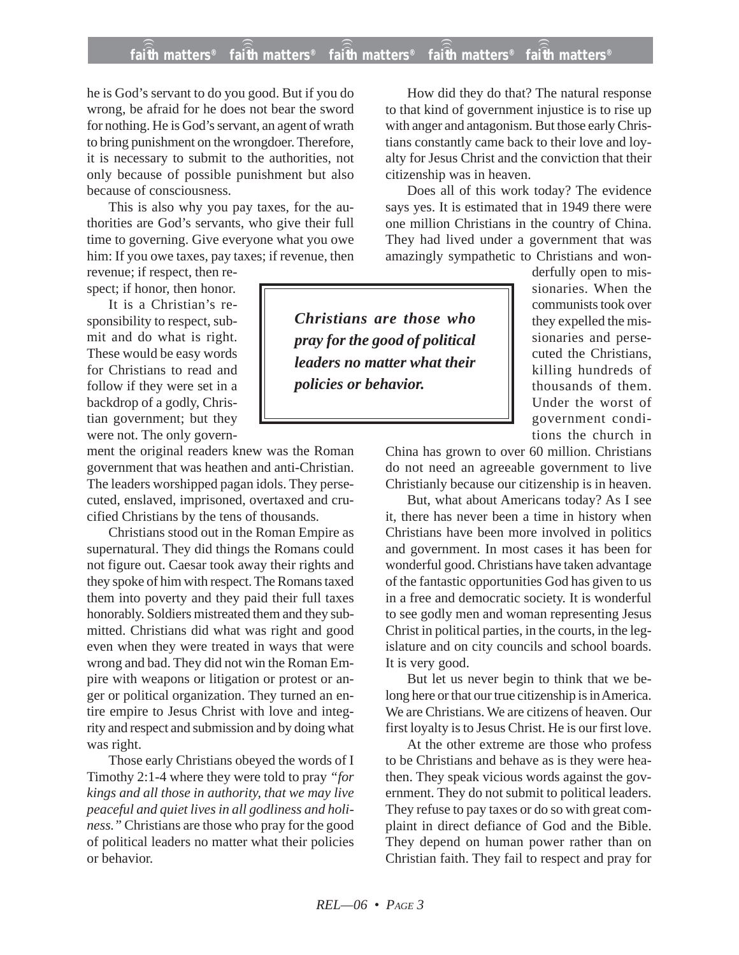## **faith matters® faith matters® faith matters® faith matters® faith matters®** ))) ))) ))) ))) )))

he is God's servant to do you good. But if you do wrong, be afraid for he does not bear the sword for nothing. He is God's servant, an agent of wrath to bring punishment on the wrongdoer. Therefore, it is necessary to submit to the authorities, not only because of possible punishment but also because of consciousness.

This is also why you pay taxes, for the authorities are God's servants, who give their full time to governing. Give everyone what you owe him: If you owe taxes, pay taxes; if revenue, then

revenue; if respect, then respect; if honor, then honor.

It is a Christian's responsibility to respect, submit and do what is right. These would be easy words for Christians to read and follow if they were set in a backdrop of a godly, Christian government; but they were not. The only govern-

ment the original readers knew was the Roman government that was heathen and anti-Christian. The leaders worshipped pagan idols. They persecuted, enslaved, imprisoned, overtaxed and crucified Christians by the tens of thousands.

Christians stood out in the Roman Empire as supernatural. They did things the Romans could not figure out. Caesar took away their rights and they spoke of him with respect. The Romans taxed them into poverty and they paid their full taxes honorably. Soldiers mistreated them and they submitted. Christians did what was right and good even when they were treated in ways that were wrong and bad. They did not win the Roman Empire with weapons or litigation or protest or anger or political organization. They turned an entire empire to Jesus Christ with love and integrity and respect and submission and by doing what was right.

Those early Christians obeyed the words of I Timothy 2:1-4 where they were told to pray *"for kings and all those in authority, that we may live peaceful and quiet lives in all godliness and holiness."* Christians are those who pray for the good of political leaders no matter what their policies or behavior.

How did they do that? The natural response to that kind of government injustice is to rise up with anger and antagonism. But those early Christians constantly came back to their love and loyalty for Jesus Christ and the conviction that their citizenship was in heaven.

Does all of this work today? The evidence says yes. It is estimated that in 1949 there were one million Christians in the country of China. They had lived under a government that was amazingly sympathetic to Christians and won-

*Christians are those who pray for the good of political leaders no matter what their policies or behavior.*

derfully open to missionaries. When the communists took over they expelled the missionaries and persecuted the Christians, killing hundreds of thousands of them. Under the worst of government conditions the church in

China has grown to over 60 million. Christians do not need an agreeable government to live Christianly because our citizenship is in heaven.

But, what about Americans today? As I see it, there has never been a time in history when Christians have been more involved in politics and government. In most cases it has been for wonderful good. Christians have taken advantage of the fantastic opportunities God has given to us in a free and democratic society. It is wonderful to see godly men and woman representing Jesus Christ in political parties, in the courts, in the legislature and on city councils and school boards. It is very good.

But let us never begin to think that we belong here or that our true citizenship is in America. We are Christians. We are citizens of heaven. Our first loyalty is to Jesus Christ. He is our first love.

At the other extreme are those who profess to be Christians and behave as is they were heathen. They speak vicious words against the government. They do not submit to political leaders. They refuse to pay taxes or do so with great complaint in direct defiance of God and the Bible. They depend on human power rather than on Christian faith. They fail to respect and pray for